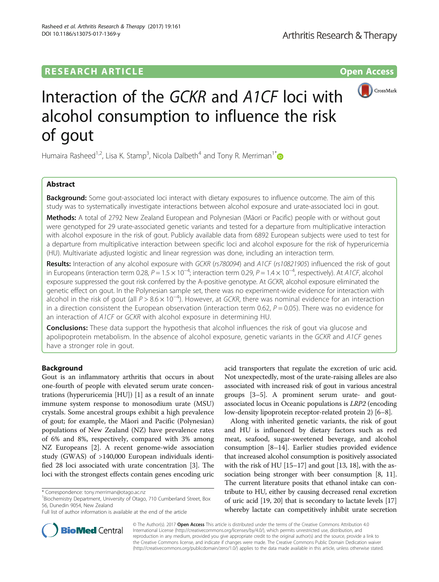## **RESEARCH ARTICLE Example 2014 12:30 The Contract of Contract ACCESS**



# Interaction of the GCKR and A1CF loci with alcohol consumption to influence the risk of gout

Humaira Rasheed<sup>1,2</sup>, Lisa K. Stamp<sup>3</sup>, Nicola Dalbeth<sup>4</sup> and Tony R. Merriman<sup>1\*</sup>

## Abstract

**Background:** Some gout-associated loci interact with dietary exposures to influence outcome. The aim of this study was to systematically investigate interactions between alcohol exposure and urate-associated loci in gout.

Methods: A total of 2792 New Zealand European and Polynesian (Māori or Pacific) people with or without gout were genotyped for 29 urate-associated genetic variants and tested for a departure from multiplicative interaction with alcohol exposure in the risk of gout. Publicly available data from 6892 European subjects were used to test for a departure from multiplicative interaction between specific loci and alcohol exposure for the risk of hyperuricemia (HU). Multivariate adjusted logistic and linear regression was done, including an interaction term.

Results: Interaction of any alcohol exposure with GCKR (rs780094) and A1CF (rs10821905) influenced the risk of gout in Europeans (interaction term 0.28,  $P = 1.5 \times 10^{-4}$ ; interaction term 0.29,  $P = 1.4 \times 10^{-4}$ , respectively). At A1CF, alcohol exposure suppressed the gout risk conferred by the A-positive genotype. At GCKR, alcohol exposure eliminated the genetic effect on gout. In the Polynesian sample set, there was no experiment-wide evidence for interaction with alcohol in the risk of gout (all P > 8.6 × 10−<sup>4</sup> ). However, at GCKR, there was nominal evidence for an interaction in a direction consistent the European observation (interaction term 0.62,  $P = 0.05$ ). There was no evidence for an interaction of A1CF or GCKR with alcohol exposure in determining HU.

**Conclusions:** These data support the hypothesis that alcohol influences the risk of gout via glucose and apolipoprotein metabolism. In the absence of alcohol exposure, genetic variants in the GCKR and A1CF genes have a stronger role in gout.

## Background

Gout is an inflammatory arthritis that occurs in about one-fourth of people with elevated serum urate concentrations (hyperuricemia [HU]) [[1\]](#page-8-0) as a result of an innate immune system response to monosodium urate (MSU) crystals. Some ancestral groups exhibit a high prevalence of gout; for example, the Māori and Pacific (Polynesian) populations of New Zealand (NZ) have prevalence rates of 6% and 8%, respectively, compared with 3% among NZ Europeans [[2\]](#page-8-0). A recent genome-wide association study (GWAS) of >140,000 European individuals identified 28 loci associated with urate concentration [[3](#page-8-0)]. The loci with the strongest effects contain genes encoding uric

<sup>1</sup>Biochemistry Department, University of Otago, 710 Cumberland Street, Box 56, Dunedin 9054, New Zealand

acid transporters that regulate the excretion of uric acid. Not unexpectedly, most of the urate-raising alleles are also associated with increased risk of gout in various ancestral groups [\[3](#page-8-0)–[5\]](#page-8-0). A prominent serum urate- and goutassociated locus in Oceanic populations is LRP2 (encoding low-density lipoprotein receptor-related protein 2) [[6](#page-8-0)–[8](#page-8-0)].

Along with inherited genetic variants, the risk of gout and HU is influenced by dietary factors such as red meat, seafood, sugar-sweetened beverage, and alcohol consumption [[8](#page-8-0)–[14](#page-8-0)]. Earlier studies provided evidence that increased alcohol consumption is positively associated with the risk of HU [\[15](#page-8-0)–[17](#page-8-0)] and gout [[13](#page-8-0), [18\]](#page-8-0), with the as-sociation being stronger with beer consumption [\[8](#page-8-0), [11](#page-8-0)]. The current literature posits that ethanol intake can contribute to HU, either by causing decreased renal excretion of uric acid [[19](#page-8-0), [20\]](#page-8-0) that is secondary to lactate levels [[17](#page-8-0)] whereby lactate can competitively inhibit urate secretion



© The Author(s). 2017 **Open Access** This article is distributed under the terms of the Creative Commons Attribution 4.0 International License [\(http://creativecommons.org/licenses/by/4.0/](http://creativecommons.org/licenses/by/4.0/)), which permits unrestricted use, distribution, and reproduction in any medium, provided you give appropriate credit to the original author(s) and the source, provide a link to the Creative Commons license, and indicate if changes were made. The Creative Commons Public Domain Dedication waiver [\(http://creativecommons.org/publicdomain/zero/1.0/](http://creativecommons.org/publicdomain/zero/1.0/)) applies to the data made available in this article, unless otherwise stated.

<sup>\*</sup> Correspondence: [tony.merriman@otago.ac.nz](mailto:tony.merriman@otago.ac.nz) <sup>1</sup>

Full list of author information is available at the end of the article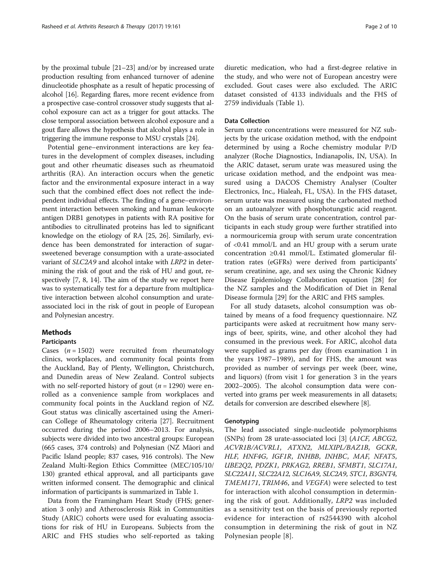by the proximal tubule [[21](#page-8-0)–[23\]](#page-8-0) and/or by increased urate production resulting from enhanced turnover of adenine dinucleotide phosphate as a result of hepatic processing of alcohol [[16](#page-8-0)]. Regarding flares, more recent evidence from a prospective case-control crossover study suggests that alcohol exposure can act as a trigger for gout attacks. The close temporal association between alcohol exposure and a gout flare allows the hypothesis that alcohol plays a role in triggering the immune response to MSU crystals [[24](#page-8-0)].

Potential gene–environment interactions are key features in the development of complex diseases, including gout and other rheumatic diseases such as rheumatoid arthritis (RA). An interaction occurs when the genetic factor and the environmental exposure interact in a way such that the combined effect does not reflect the independent individual effects. The finding of a gene–environment interaction between smoking and human leukocyte antigen DRB1 genotypes in patients with RA positive for antibodies to citrullinated proteins has led to significant knowledge on the etiology of RA [[25](#page-8-0), [26\]](#page-9-0). Similarly, evidence has been demonstrated for interaction of sugarsweetened beverage consumption with a urate-associated variant of SLC2A9 and alcohol intake with LRP2 in determining the risk of gout and the risk of HU and gout, respectively [[7, 8, 14](#page-8-0)]. The aim of the study we report here was to systematically test for a departure from multiplicative interaction between alcohol consumption and urateassociated loci in the risk of gout in people of European and Polynesian ancestry.

## Methods

## Participants

Cases  $(n = 1502)$  were recruited from rheumatology clinics, workplaces, and community focal points from the Auckland, Bay of Plenty, Wellington, Christchurch, and Dunedin areas of New Zealand. Control subjects with no self-reported history of gout ( $n = 1290$ ) were enrolled as a convenience sample from workplaces and community focal points in the Auckland region of NZ. Gout status was clinically ascertained using the American College of Rheumatology criteria [\[27](#page-9-0)]. Recruitment occurred during the period 2006–2013. For analysis, subjects were divided into two ancestral groups: European (665 cases, 374 controls) and Polynesian (NZ Māori and Pacific Island people; 837 cases, 916 controls). The New Zealand Multi-Region Ethics Committee (MEC/105/10/ 130) granted ethical approval, and all participants gave written informed consent. The demographic and clinical information of participants is summarized in Table [1](#page-2-0).

Data from the Framingham Heart Study (FHS; generation 3 only) and Atherosclerosis Risk in Communities Study (ARIC) cohorts were used for evaluating associations for risk of HU in Europeans. Subjects from the ARIC and FHS studies who self-reported as taking diuretic medication, who had a first-degree relative in the study, and who were not of European ancestry were excluded. Gout cases were also excluded. The ARIC dataset consisted of 4133 individuals and the FHS of 2759 individuals (Table [1\)](#page-2-0).

## Data Collection

Serum urate concentrations were measured for NZ subjects by the uricase oxidation method, with the endpoint determined by using a Roche chemistry modular P/D analyzer (Roche Diagnostics, Indianapolis, IN, USA). In the ARIC dataset, serum urate was measured using the uricase oxidation method, and the endpoint was measured using a DACOS Chemistry Analyser (Coulter Electronics, Inc., Hialeah, FL, USA). In the FHS dataset, serum urate was measured using the carbonated method on an autoanalyzer with phosphotungstic acid reagent. On the basis of serum urate concentration, control participants in each study group were further stratified into a normouricemia group with serum urate concentration of <0.41 mmol/L and an HU group with a serum urate concentration ≥0.41 mmol/L. Estimated glomerular filtration rates (eGFRs) were derived from participants' serum creatinine, age, and sex using the Chronic Kidney Disease Epidemiology Collaboration equation [\[28](#page-9-0)] for the NZ samples and the Modification of Diet in Renal Disease formula [\[29](#page-9-0)] for the ARIC and FHS samples.

For all study datasets, alcohol consumption was obtained by means of a food frequency questionnaire. NZ participants were asked at recruitment how many servings of beer, spirits, wine, and other alcohol they had consumed in the previous week. For ARIC, alcohol data were supplied as grams per day (from examination 1 in the years 1987–1989), and for FHS, the amount was provided as number of servings per week (beer, wine, and liquors) (from visit 1 for generation 3 in the years 2002–2005). The alcohol consumption data were converted into grams per week measurements in all datasets; details for conversion are described elsewhere [\[8](#page-8-0)].

## **Genotyping**

The lead associated single-nucleotide polymorphisms (SNPs) from 28 urate-associated loci [[3\]](#page-8-0) (A1CF, ABCG2, ACVR1B/ACVRL1, ATXN2, MLXIPL/BAZ1B, GCKR, HLF, HNF4G, IGF1R, INHBB, INHBC, MAF, NFAT5, UBE2Q2, PDZK1, PRKAG2, RREB1, SFMBT1, SLC17A1, SLC22A11, SLC22A12, SLC16A9, SLC2A9, STC1, B3GNT4, TMEM171, TRIM46, and VEGFA) were selected to test for interaction with alcohol consumption in determining the risk of gout. Additionally, LRP2 was included as a sensitivity test on the basis of previously reported evidence for interaction of rs2544390 with alcohol consumption in determining the risk of gout in NZ Polynesian people [\[8\]](#page-8-0).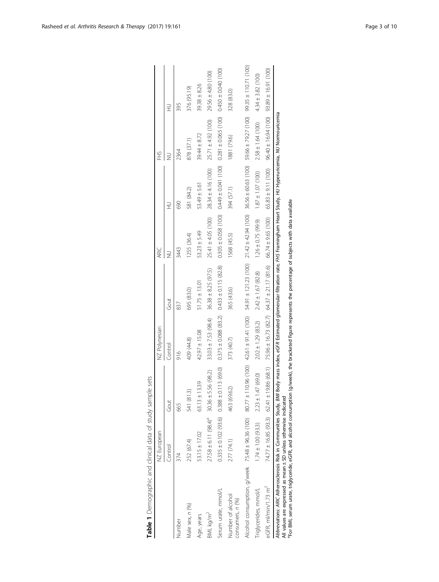<span id="page-2-0"></span>

|                                                                                                                                                                                                                                                                                                                                                       | NZ European                                         |                                                   | NZ Polynesian            |                                                                                          | ARIC                    |                        | HS                                              |                         |
|-------------------------------------------------------------------------------------------------------------------------------------------------------------------------------------------------------------------------------------------------------------------------------------------------------------------------------------------------------|-----------------------------------------------------|---------------------------------------------------|--------------------------|------------------------------------------------------------------------------------------|-------------------------|------------------------|-------------------------------------------------|-------------------------|
|                                                                                                                                                                                                                                                                                                                                                       | Control                                             | Gout                                              | Control                  | Gout                                                                                     |                         | ⊋                      |                                                 | ₹                       |
| Number                                                                                                                                                                                                                                                                                                                                                | 374                                                 | 665                                               | 916                      | 837                                                                                      | 3443                    | 690                    | 2364                                            | 395                     |
| Male sex, n (%)                                                                                                                                                                                                                                                                                                                                       | 252 (67.4)                                          | 541 (81.3)                                        | 409 (44.8)               | 695 (83.0)                                                                               | 1255 (36.4)             | 581 (84.2)             | 878 (37.1)                                      | 376 (95.19)             |
| Age, years                                                                                                                                                                                                                                                                                                                                            | $53.15 \pm 17.02$                                   | 13.39<br>$63.13 \pm 1$                            | 42.97 ± 15.08            | $51.75 \pm 13.01$                                                                        | $53.23 \pm 5.49$        | $53.49 \pm 5.61$       | $39.44 \pm 8.72$                                | $39.38 \pm 8.26$        |
| BMI, kg/m <sup>2</sup>                                                                                                                                                                                                                                                                                                                                | $27.58 \pm 6.11 (98.4)^{9}$ 30.36 $\pm$ 5.56 (98.2) |                                                   | $33.03 \pm 7.53$ (98.4)  | $36.38 \pm 8.25$ (97.5)                                                                  | $25.41 \pm 4.05$ (100)  | $28.34 \pm 4.16$ (100) | $25.71 \pm 4.92$ (100)                          | $29.56 \pm 4.80$ (100)  |
| Serum urate, mmol/L                                                                                                                                                                                                                                                                                                                                   |                                                     | $0.335 \pm 0.102$ (93.6) $0.388 \pm 0.113$ (69.0) | $0.375 \pm 0.088$ (83.2) | $0.433 \pm 0.115 (82.8)$                                                                 | $0.305 \pm 0.058$ (100) | $0.449 \pm 0.041(100)$ | $0.281 \pm 0.065$ (100)                         | $0.450 \pm 0.040$ (100) |
| Number of alcohol<br>consumers, n (%)                                                                                                                                                                                                                                                                                                                 | 277 (74.1)                                          | 463 (69.62)                                       | 373 (40.7)               | 365 (43.6)                                                                               | 1568 (45.5)             | 394 (57.1)             | 1881 (79.6)                                     | 328 (83.0)              |
| Alcohol consumption, g/week 75.48±96.36(00)\$5.517.12 (100) 42.61 112.23(100)42.61 112.21 112.21 1100) 36.54 100) 36.56±0.00) 36.56±0.00) 95.55±110.71 (100)                                                                                                                                                                                          |                                                     |                                                   |                          |                                                                                          |                         |                        |                                                 |                         |
| Triglycerides, mmol/L                                                                                                                                                                                                                                                                                                                                 | $1.74 \pm 1.00$ (93.3)                              | $2.23 \pm 1.47$ (69.0)                            | $2.02 \pm 1.29$ (83.2)   | $2.42 \pm 1.67$ (82.8)                                                                   | $1.26 \pm 0.75$ (99.9)  | $1.87 \pm 1.07$ (100)  | $2.58 \pm 1.64(100)$                            | $4.34 \pm 3.82$ (100)   |
| eGFR, ml/min/1.73 m <sup>2</sup>                                                                                                                                                                                                                                                                                                                      | $74.77 \pm 16.85$ (93.3) 62.41 $\pm$                | 19.86 (68.1)                                      |                          | 75.96 ± 16.73 (82.7) 64.37 ± 21.17 (81.6)                                                | $66.74 \pm 9.65$ (100)  | $65.83 \pm 9.11$ (100) | $96.40 \pm 16.94 (100)$ $93.89 \pm 16.91 (100)$ |                         |
| Abbreviations: ARIC Atherosclerosis Risk in Communities Study, Bolly Body mass index, eGFR Estimated glomerular filtration rate, FHS Framingham Heart Study, HU Hyperuricemia, NU Normouricemia<br><sup>9</sup> For BMI, serum urate, triglyceride, eGFR, and alcohol consumption<br>All values are expressed as mean ± SD unless otherwise indicated |                                                     |                                                   |                          | (g/week), the bracketed figure represents the percentage of subjects with data available |                         |                        |                                                 |                         |

| ţ<br>j                  |
|-------------------------|
|                         |
| $\frac{1}{2}$<br>Ì      |
| þ<br>i                  |
| Ì                       |
| $\frac{1}{2}$<br>ì<br>j |
| I<br>ļ<br>I<br>Í        |
| Ī<br>s<br>S             |
|                         |
|                         |
| i<br>I                  |
|                         |
|                         |
|                         |
|                         |
|                         |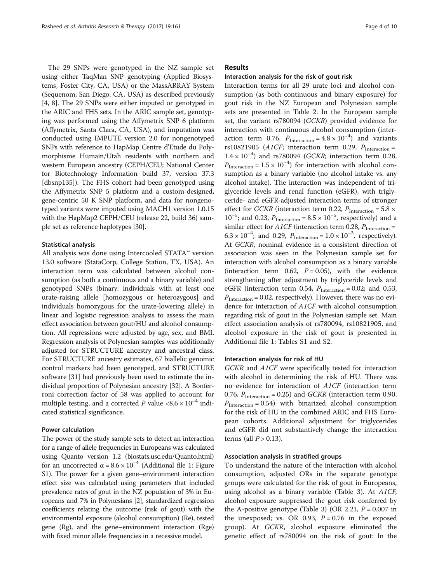The 29 SNPs were genotyped in the NZ sample set using either TaqMan SNP genotyping (Applied Biosystems, Foster City, CA, USA) or the MassARRAY System (Sequenom, San Diego, CA, USA) as described previously [[4, 8\]](#page-8-0). The 29 SNPs were either imputed or genotyped in the ARIC and FHS sets. In the ARIC sample set, genotyping was performed using the Affymetrix SNP 6 platform (Affymetrix, Santa Clara, CA, USA), and imputation was conducted using IMPUTE version 2.0 for nongenotyped SNPs with reference to HapMap Centre d'Etude du Polymorphisme Humain/Utah residents with northern and western European ancestry (CEPH/CEU; National Center for Biotechnology Information build 37, version 37.3 [dbsnp135]). The FHS cohort had been genotyped using the Affymetrix SNP 5 platform and a custom-designed, gene-centric 50 K SNP platform, and data for nongenotyped variants were imputed using MACH1 version 1.0.15 with the HapMap2 CEPH/CEU (release 22, build 36) sample set as reference haplotypes [[30](#page-9-0)].

## Statistical analysis

All analysis was done using Intercooled STATA™ version 13.0 software (StataCorp, College Station, TX, USA). An interaction term was calculated between alcohol consumption (as both a continuous and a binary variable) and genotyped SNPs (binary: individuals with at least one urate-raising allele [homozygous or heterozygous] and individuals homozygous for the urate-lowering allele) in linear and logistic regression analysis to assess the main effect association between gout/HU and alcohol consumption. All regressions were adjusted by age, sex, and BMI. Regression analysis of Polynesian samples was additionally adjusted for STRUCTURE ancestry and ancestral class. For STRUCTURE ancestry estimates, 67 biallelic genomic control markers had been genotyped, and STRUCTURE software [\[31\]](#page-9-0) had previously been used to estimate the individual proportion of Polynesian ancestry [[32](#page-9-0)]. A Bonferroni correction factor of 58 was applied to account for multiple testing, and a corrected P value  $\langle 8.6 \times 10^{-4} \rangle$  indicated statistical significance.

## Power calculation

The power of the study sample sets to detect an interaction for a range of allele frequencies in Europeans was calculated using Quanto version 1.2 (biostats.usc.edu/Quanto.html) for an uncorrected  $\alpha = 8.6 \times 10^{-4}$  $\alpha = 8.6 \times 10^{-4}$  $\alpha = 8.6 \times 10^{-4}$  (Additional file 1: Figure S1). The power for a given gene–environment interaction effect size was calculated using parameters that included prevalence rates of gout in the NZ population of 3% in Europeans and 7% in Polynesians [\[2\]](#page-8-0), standardized regression coefficients relating the outcome (risk of gout) with the environmental exposure (alcohol consumption) (Re), tested gene (Rg), and the gene–environment interaction (Rge) with fixed minor allele frequencies in a recessive model.

## Results

#### Interaction analysis for the risk of gout risk

Interaction terms for all 29 urate loci and alcohol consumption (as both continuous and binary exposure) for gout risk in the NZ European and Polynesian sample sets are presented in Table [2](#page-4-0). In the European sample set, the variant rs780094 (GCKR) provided evidence for interaction with continuous alcohol consumption (interaction term 0.76,  $P_{\text{Interaction}} = 4.8 \times 10^{-4}$  and variants rs10821905 (A1CF; interaction term 0.29,  $P_{\text{Interaction}} =$ 1.4 × 10−<sup>4</sup> ) and rs780094 (GCKR; interaction term 0.28,  $P_{\text{Interaction}} = 1.5 \times 10^{-4}$ ) for interaction with alcohol consumption as a binary variable (no alcohol intake vs. any alcohol intake). The interaction was independent of triglyceride levels and renal function (eGFR), with triglyceride- and eGFR-adjusted interaction terms of stronger effect for *GCKR* (interaction term 0.22,  $P_{\text{Interaction}} = 5.8 \times$  $10^{-5}$ ; and 0.23,  $P_{\text{Interaction}} = 8.5 \times 10^{-5}$ , respectively) and a similar effect for  $A1CF$  (interaction term 0.28,  $P_{\text{Interaction}} =$  $6.3 \times 10^{-4}$ ; and 0.29,  $P_{\text{Interaction}} = 1.0 \times 10^{-3}$ , respectively). At GCKR, nominal evidence in a consistent direction of association was seen in the Polynesian sample set for interaction with alcohol consumption as a binary variable (interaction term 0.62,  $P = 0.05$ ), with the evidence strengthening after adjustment by triglyceride levels and eGFR (interaction term 0.54,  $P_{\text{Interaction}} = 0.02$ ; and 0.53,  $P_{\text{Interaction}} = 0.02$ , respectively). However, there was no evidence for interaction of A1CF with alcohol consumption regarding risk of gout in the Polynesian sample set. Main effect association analysis of rs780094, rs10821905, and alcohol exposure in the risk of gout is presented in Additional file [1](#page-7-0): Tables S1 and S2.

#### Interaction analysis for risk of HU

GCKR and A1CF were specifically tested for interaction with alcohol in determining the risk of HU. There was no evidence for interaction of A1CF (interaction term 0.76,  $P_{\text{Interaction}} = 0.25$ ) and GCKR (interaction term 0.90,  $P_{\text{Interaction}} = 0.54$ ) with binarized alcohol consumption for the risk of HU in the combined ARIC and FHS European cohorts. Additional adjustment for triglycerides and eGFR did not substantively change the interaction terms (all  $P > 0.13$ ).

## Association analysis in stratified groups

To understand the nature of the interaction with alcohol consumption, adjusted ORs in the separate genotype groups were calculated for the risk of gout in Europeans, using alcohol as a binary variable (Table [3](#page-6-0)). At A1CF, alcohol exposure suppressed the gout risk conferred by the A-positive genotype (Table [3\)](#page-6-0) (OR 2.21,  $P = 0.007$  in the unexposed; vs. OR 0.93,  $P = 0.76$  in the exposed group). At GCKR, alcohol exposure eliminated the genetic effect of rs780094 on the risk of gout: In the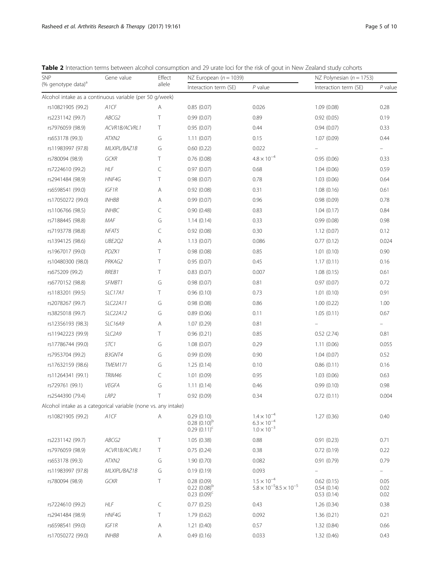<span id="page-4-0"></span>

|                                                         |            |        |                          |         | <b>Table 2</b> Interaction terms between alcohol consumption and 29 urate loci for the risk of gout in New Zealand study cohorts |         |
|---------------------------------------------------------|------------|--------|--------------------------|---------|----------------------------------------------------------------------------------------------------------------------------------|---------|
| <b>SNP</b>                                              | Gene value | Effect | NZ European $(n = 1039)$ |         | NZ Polynesian $(n = 1753)$                                                                                                       |         |
| (% genotype data) <sup>a</sup>                          |            | allele | Interaction term (SE)    | P value | Interaction term (SE)                                                                                                            | P value |
| Alcohol intake as a continuous variable (per 50 g/week) |            |        |                          |         |                                                                                                                                  |         |

| <i>liv</i> you orly pollution                                  |                     | alleic | Interaction term (SE)                                  | P value                                                              | Interaction term (SE)                  | P value              |
|----------------------------------------------------------------|---------------------|--------|--------------------------------------------------------|----------------------------------------------------------------------|----------------------------------------|----------------------|
| Alcohol intake as a continuous variable (per 50 g/week)        |                     |        |                                                        |                                                                      |                                        |                      |
| rs10821905 (99.2)                                              | A1CF                | Α      | 0.85(0.07)                                             | 0.026                                                                | 1.09(0.08)                             | 0.28                 |
| rs2231142 (99.7)                                               | ABCG2               | Τ      | 0.99(0.07)                                             | 0.89                                                                 | 0.92(0.05)                             | 0.19                 |
| rs7976059 (98.9)                                               | ACVR1B/ACVRL1       | T      | 0.95(0.07)                                             | 0.44                                                                 | 0.94(0.07)                             | 0.33                 |
| rs653178 (99.3)                                                | ATXN2               | G      | 1.11(0.07)                                             | 0.15                                                                 | 1.07(0.09)                             | 0.44                 |
| rs11983997 (97.8)                                              | MLXIPL/BAZ1B        | G      | 0.60(0.22)                                             | 0.022                                                                |                                        |                      |
| rs780094 (98.9)                                                | <b>GCKR</b>         | T      | 0.76(0.08)                                             | $4.8 \times 10^{-4}$                                                 | 0.95(0.06)                             | 0.33                 |
| rs7224610 (99.2)                                               | <b>HLF</b>          | C      | 0.97(0.07)                                             | 0.68                                                                 | 1.04(0.06)                             | 0.59                 |
| rs2941484 (98.9)                                               | HNF4G               | Τ      | 0.98(0.07)                                             | 0.78                                                                 | 1.03(0.06)                             | 0.64                 |
| rs6598541 (99.0)                                               | IGF1R               | Α      | 0.92(0.08)                                             | 0.31                                                                 | 1.08(0.16)                             | 0.61                 |
| rs17050272 (99.0)                                              | <b>INHBB</b>        | Α      | 0.99(0.07)                                             | 0.96                                                                 | 0.98(0.09)                             | 0.78                 |
| rs1106766 (98.5)                                               | <b>INHBC</b>        | C      | 0.90(0.48)                                             | 0.83                                                                 | 1.04(0.17)                             | 0.84                 |
| rs7188445 (98.8)                                               | MAF                 | G      | 1.14(0.14)                                             | 0.33                                                                 | 0.99(0.08)                             | 0.98                 |
| rs7193778 (98.8)                                               | NFAT5               | C      | 0.92(0.08)                                             | 0.30                                                                 | 1.12(0.07)                             | 0.12                 |
| rs1394125 (98.6)                                               | UBE2Q2              | Α      | 1.13(0.07)                                             | 0.086                                                                | 0.77(0.12)                             | 0.024                |
| rs1967017 (99.0)                                               | PDZK1               | Τ      | 0.98(0.08)                                             | 0.85                                                                 | 1.01(0.10)                             | 0.90                 |
| rs10480300 (98.0)                                              | PRKAG2              | Τ      | 0.95(0.07)                                             | 0.45                                                                 | 1.17(0.11)                             | 0.16                 |
| rs675209 (99.2)                                                | RREB1               | Τ      | 0.83(0.07)                                             | 0.007                                                                | 1.08(0.15)                             | 0.61                 |
| rs6770152 (98.8)                                               | SFMBT1              | G      | 0.98(0.07)                                             | 0.81                                                                 | 0.97(0.07)                             | 0.72                 |
| rs1183201 (99.5)                                               | <b>SLC17A1</b>      | Τ      | 0.96(0.10)                                             | 0.73                                                                 | 1.01(0.10)                             | 0.91                 |
| rs2078267 (99.7)                                               | SLC22A11            | G      | 0.98(0.08)                                             | 0.86                                                                 | 1.00(0.22)                             | 1.00                 |
| rs3825018 (99.7)                                               | SLC22A12            | G      | 0.89(0.06)                                             | 0.11                                                                 | 1.05(0.11)                             | 0.67                 |
| rs12356193 (98.3)                                              | <b>SLC16A9</b>      | Α      | 1.07(0.29)                                             | 0.81                                                                 |                                        | $\equiv$             |
| rs11942223 (99.9)                                              | SLC <sub>2</sub> A9 | Τ      | 0.96(0.21)                                             | 0.85                                                                 | 0.52(2.74)                             | 0.81                 |
| rs17786744 (99.0)                                              | STC1                | G      | 1.08(0.07)                                             | 0.29                                                                 | 1.11(0.06)                             | 0.055                |
| rs7953704 (99.2)                                               | B3GNT4              | G      | 0.99(0.09)                                             | 0.90                                                                 | 1.04(0.07)                             | 0.52                 |
| rs17632159 (98.6)                                              | TMEM171             | G      | 1.25(0.14)                                             | 0.10                                                                 | 0.86(0.11)                             | 0.16                 |
| rs11264341 (99.1)                                              | TRIM46              | C      | 1.01 (0.09)                                            | 0.95                                                                 | 1.03(0.06)                             | 0.63                 |
| rs729761 (99.1)                                                | VEGFA               | G      | 1.11(0.14)                                             | 0.46                                                                 | 0.99(0.10)                             | 0.98                 |
| rs2544390 (79.4)                                               | LRP2                | Τ      | 0.92(0.09)                                             | 0.34                                                                 | 0.72(0.11)                             | 0.004                |
| Alcohol intake as a categorical variable (none vs. any intake) |                     |        |                                                        |                                                                      |                                        |                      |
| rs10821905 (99.2) A1CF                                         |                     | A      | 0.29(0.10)<br>$0.28(0.10)^{b}$<br>$0.29(0.11)^c$       | $1.4 \times 10^{-4}$<br>$6.3 \times 10^{-4}$<br>$1.0 \times 10^{-3}$ | 1.27(0.36)                             | 0.40                 |
| rs2231142 (99.7)                                               | ABCG2               | Τ      | 1.05(0.38)                                             | 0.88                                                                 | 0.91(0.23)                             | 0.71                 |
| rs7976059 (98.9)                                               | ACVR1B/ACVRL1       | T      | 0.75(0.24)                                             | 0.38                                                                 | 0.72(0.19)                             | 0.22                 |
| rs653178 (99.3)                                                | ATXN2               | G      | 1.90(0.70)                                             | 0.082                                                                | 0.91(0.79)                             | 0.79                 |
| rs11983997 (97.8)                                              | MLXIPL/BAZ1B        | G      | 0.19(0.19)                                             | 0.093                                                                |                                        | $\equiv$             |
| rs780094 (98.9)                                                | GCKR                | Τ      | 0.28(0.09)<br>$0.22$ $(0.08)^{b}$<br>$0.23$ $(0.09)^c$ | $1.5 \times 10^{-4}$<br>$5.8 \times 10^{-5}$ $8.5 \times 10^{-5}$    | 0.62(0.15)<br>0.54(0.14)<br>0.53(0.14) | 0.05<br>0.02<br>0.02 |
| rs7224610 (99.2)                                               | HLF                 | C      | 0.77(0.25)                                             | 0.43                                                                 | 1.26(0.34)                             | 0.38                 |
| rs2941484 (98.9)                                               | HNF4G               | Τ      | 1.79(0.62)                                             | 0.092                                                                | 1.36(0.21)                             | 0.21                 |
| rs6598541 (99.0)                                               | IGF1R               | Α      | 1.21(0.40)                                             | 0.57                                                                 | 1.32(0.84)                             | 0.66                 |
| rs17050272 (99.0)                                              | <b>INHBB</b>        | Α      | 0.49(0.16)                                             | 0.033                                                                | 1.32(0.46)                             | 0.43                 |
|                                                                |                     |        |                                                        |                                                                      |                                        |                      |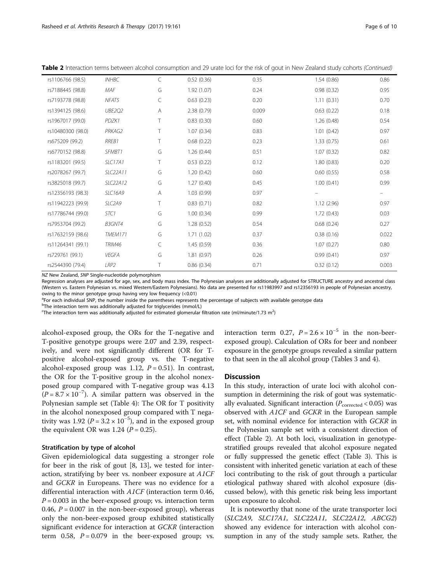| rs1106766 (98.5)  | <b>INHBC</b>     | C | 0.52(0.36) | 0.35  | 1.54(0.86) | 0.86  |
|-------------------|------------------|---|------------|-------|------------|-------|
| rs7188445 (98.8)  | MAF              | G | 1.92(1.07) | 0.24  | 0.98(0.32) | 0.95  |
| rs7193778 (98.8)  | NFAT5            | C | 0.63(0.23) | 0.20  | 1.11(0.31) | 0.70  |
| rs1394125 (98.6)  | <b>UBE202</b>    | A | 2.38(0.79) | 0.009 | 0.63(0.22) | 0.18  |
| rs1967017 (99.0)  | PDZK1            | Т | 0.83(0.30) | 0.60  | 1.26(0.48) | 0.54  |
| rs10480300 (98.0) | PRKAG2           | Т | 1.07(0.34) | 0.83  | 1.01(0.42) | 0.97  |
| rs675209 (99.2)   | RREB1            | Τ | 0.68(0.22) | 0.23  | 1.33(0.75) | 0.61  |
| rs6770152 (98.8)  | SFMBT1           | G | 1.26(0.44) | 0.51  | 1.07(0.32) | 0.82  |
| rs1183201 (99.5)  | <b>SLC17A1</b>   | T | 0.53(0.22) | 0.12  | 1.80(0.83) | 0.20  |
| rs2078267 (99.7)  | SLC22A11         | G | 1.20(0.42) | 0.60  | 0.60(0.55) | 0.58  |
| rs3825018 (99.7)  | SLC22A12         | G | 1.27(0.40) | 0.45  | 1.00(0.41) | 0.99  |
| rs12356193 (98.3) | <b>SLC16A9</b>   | Α | 1.03(0.99) | 0.97  |            |       |
| rs11942223 (99.9) | SLC2A9           | т | 0.83(0.71) | 0.82  | 1.12(2.96) | 0.97  |
| rs17786744 (99.0) | STC1             | G | 1.00(0.34) | 0.99  | 1.72(0.43) | 0.03  |
| rs7953704 (99.2)  | B3GNT4           | G | 1.28(0.52) | 0.54  | 0.68(0.24) | 0.27  |
| rs17632159 (98.6) | TMEM171          | G | 1.71(1.02) | 0.37  | 0.38(0.16) | 0.022 |
| rs11264341 (99.1) | <b>TRIM46</b>    | C | 1.45(0.59) | 0.36  | 1.07(0.27) | 0.80  |
| rs729761 (99.1)   | <b>VEGFA</b>     | G | 1.81(0.97) | 0.26  | 0.99(0.41) | 0.97  |
| rs2544390 (79.4)  | LRP <sub>2</sub> |   | 0.86(0.34) | 0.71  | 0.32(0.12) | 0.003 |
|                   |                  |   |            |       |            |       |

Table 2 Interaction terms between alcohol consumption and 29 urate loci for the risk of gout in New Zealand study cohorts (Continued)

NZ New Zealand, SNP Single-nucleotide polymorphism

Regression analyses are adjusted for age, sex, and body mass index. The Polynesian analyses are additionally adjusted for STRUCTURE ancestry and ancestral class (Western vs. Eastern Polynesian vs. mixed Western/Eastern Polynesians). No data are presented for rs11983997 and rs12356193 in people of Polynesian ancestry, owing to the minor genotype group having very low frequency (<0.01)

<sup>a</sup>For each individual SNP, the number inside the parentheses represents the percentage of subjects with available genotype data

<sup>b</sup>The interaction term was additionally adjusted for triglycerides (mmol/L)

 $\rm ^{c}$ The interaction term was additionally adjusted for estimated glomerular filtration rate (ml/minute/1.73 m<sup>2</sup>)

alcohol-exposed group, the ORs for the T-negative and T-positive genotype groups were 2.07 and 2.39, respectively, and were not significantly different (OR for Tpositive alcohol-exposed group vs. the T-negative alcohol-exposed group was 1.12,  $P = 0.51$ ). In contrast, the OR for the T-positive group in the alcohol nonexposed group compared with T-negative group was 4.13  $(P = 8.7 \times 10^{-7})$ . A similar pattern was observed in the Polynesian sample set (Table [4\)](#page-6-0): The OR for T positivity in the alcohol nonexposed group compared with T negativity was 1.92 ( $P = 3.2 \times 10^{-5}$ ), and in the exposed group the equivalent OR was 1.24 ( $P = 0.25$ ).

### Stratification by type of alcohol

Given epidemiological data suggesting a stronger role for beer in the risk of gout [[8, 13\]](#page-8-0), we tested for interaction, stratifying by beer vs. nonbeer exposure at A1CF and GCKR in Europeans. There was no evidence for a differential interaction with A1CF (interaction term 0.46,  $P = 0.003$  in the beer-exposed group; vs. interaction term 0.46,  $P = 0.007$  in the non-beer-exposed group), whereas only the non-beer-exposed group exhibited statistically significant evidence for interaction at GCKR (interaction term 0.58,  $P = 0.079$  in the beer-exposed group; vs. interaction term 0.27,  $P = 2.6 \times 10^{-5}$  in the non-beerexposed group). Calculation of ORs for beer and nonbeer exposure in the genotype groups revealed a similar pattern to that seen in the all alcohol group (Tables [3](#page-6-0) and [4](#page-6-0)).

## **Discussion**

In this study, interaction of urate loci with alcohol consumption in determining the risk of gout was systematically evaluated. Significant interaction ( $P_{\text{corrected}}$  < 0.05) was observed with A1CF and GCKR in the European sample set, with nominal evidence for interaction with GCKR in the Polynesian sample set with a consistent direction of effect (Table [2](#page-4-0)). At both loci, visualization in genotypestratified groups revealed that alcohol exposure negated or fully suppressed the genetic effect (Table [3](#page-6-0)). This is consistent with inherited genetic variation at each of these loci contributing to the risk of gout through a particular etiological pathway shared with alcohol exposure (discussed below), with this genetic risk being less important upon exposure to alcohol.

It is noteworthy that none of the urate transporter loci (SLC2A9, SLC17A1, SLC22A11, SLC22A12, ABCG2) showed any evidence for interaction with alcohol consumption in any of the study sample sets. Rather, the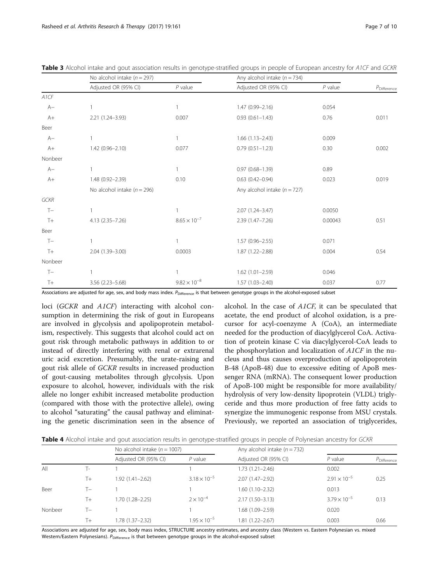|             | No alcohol intake $(n = 297)$   |                       | Any alcohol intake ( $n = 734$ ) |           |                      |
|-------------|---------------------------------|-----------------------|----------------------------------|-----------|----------------------|
|             | Adjusted OR (95% CI)            | $P$ value             | Adjusted OR (95% CI)             | $P$ value | $P_{\rm Difference}$ |
| A1CF        |                                 |                       |                                  |           |                      |
| $A-$        |                                 | $\mathbf{1}$          | $1.47(0.99 - 2.16)$              | 0.054     |                      |
| $A+$        | 2.21 (1.24-3.93)                | 0.007                 | $0.93(0.61 - 1.43)$              | 0.76      | 0.011                |
| Beer        |                                 |                       |                                  |           |                      |
| $A-$        |                                 | $\mathbf{1}$          | $1.66(1.13 - 2.43)$              | 0.009     |                      |
| $A+$        | $1.42(0.96 - 2.10)$             | 0.077                 | $0.79(0.51 - 1.23)$              | 0.30      | 0.002                |
| Nonbeer     |                                 |                       |                                  |           |                      |
| $A-$        |                                 | $\mathbf{1}$          | $0.97(0.68 - 1.39)$              | 0.89      |                      |
| $A+$        | 1.48 (0.92-2.39)                | 0.10                  | $0.63(0.42 - 0.94)$              | 0.023     | 0.019                |
|             | No alcohol intake ( $n = 296$ ) |                       | Any alcohol intake ( $n = 727$ ) |           |                      |
| <b>GCKR</b> |                                 |                       |                                  |           |                      |
| $T -$       |                                 | $\mathbf{1}$          | 2.07 (1.24-3.47)                 | 0.0050    |                      |
| $T+$        | $4.13(2.35 - 7.26)$             | $8.65 \times 10^{-7}$ | 2.39 (1.47-7.26)                 | 0.00043   | 0.51                 |
| Beer        |                                 |                       |                                  |           |                      |
| $T -$       |                                 | $\mathbf{1}$          | $1.57(0.96 - 2.55)$              | 0.071     |                      |
| $T+$        | 2.04 (1.39-3.00)                | 0.0003                | 1.87 (1.22-2.88)                 | 0.004     | 0.54                 |
| Nonbeer     |                                 |                       |                                  |           |                      |
| $T -$       |                                 | $\mathbf{1}$          | $1.62(1.01 - 2.59)$              | 0.046     |                      |
| $T+$        | $3.56(2.23 - 5.68)$             | $9.82 \times 10^{-8}$ | $1.57(1.03 - 2.40)$              | 0.037     | 0.77                 |

<span id="page-6-0"></span>Table 3 Alcohol intake and gout association results in genotype-stratified groups in people of European ancestry for A1CF and GCKR

Associations are adjusted for age, sex, and body mass index.  $P_{\text{Difference}}$  is that between genotype groups in the alcohol-exposed subset

loci (GCKR and A1CF) interacting with alcohol consumption in determining the risk of gout in Europeans are involved in glycolysis and apolipoprotein metabolism, respectively. This suggests that alcohol could act on gout risk through metabolic pathways in addition to or instead of directly interfering with renal or extrarenal uric acid excretion. Presumably, the urate-raising and gout risk allele of GCKR results in increased production of gout-causing metabolites through glycolysis. Upon exposure to alcohol, however, individuals with the risk allele no longer exhibit increased metabolite production (compared with those with the protective allele), owing to alcohol "saturating" the causal pathway and eliminating the genetic discrimination seen in the absence of

alcohol. In the case of A1CF, it can be speculated that acetate, the end product of alcohol oxidation, is a precursor for acyl-coenzyme A (CoA), an intermediate needed for the production of diacylglycerol CoA. Activation of protein kinase C via diacylglycerol-CoA leads to the phosphorylation and localization of  $A1CF$  in the nucleus and thus causes overproduction of apolipoprotein B-48 (ApoB-48) due to excessive editing of ApoB messenger RNA (mRNA). The consequent lower production of ApoB-100 might be responsible for more availability/ hydrolysis of very low-density lipoprotein (VLDL) triglyceride and thus more production of free fatty acids to synergize the immunogenic response from MSU crystals. Previously, we reported an association of triglycerides,

Table 4 Alcohol intake and gout association results in genotype-stratified groups in people of Polynesian ancestry for GCKR

|         |                | No alcohol intake ( $n = 1007$ ) |                       | Any alcohol intake $(n = 732)$ |                       |                         |
|---------|----------------|----------------------------------|-----------------------|--------------------------------|-----------------------|-------------------------|
|         |                | Adjusted OR (95% CI)             | $P$ value             | Adjusted OR (95% CI)           | $P$ value             | P <sub>Difference</sub> |
| All     | $\overline{a}$ |                                  |                       | 1.73 (1.21-2.46)               | 0.002                 |                         |
|         | T+             | $1.92(1.41 - 2.62)$              | $3.18 \times 10^{-5}$ | $2.07(1.47 - 2.92)$            | $2.91 \times 10^{-5}$ | 0.25                    |
| Beer    | $T_{-}$        |                                  |                       | 1.60 (1.10-2.32)               | 0.013                 |                         |
|         | $T_{+}$        | $1.70(1.28 - 2.25)$              | $2 \times 10^{-4}$    | $2.17(1.50-3.13)$              | $3.79 \times 10^{-5}$ | 0.13                    |
| Nonbeer | T—             |                                  |                       | 1.68 (1.09-2.59)               | 0.020                 |                         |
|         | $T+$           | $1.78(1.37 - 2.32)$              | $1.95 \times 10^{-5}$ | 1.81 (1.22–2.67)               | 0.003                 | 0.66                    |

Associations are adjusted for age, sex, body mass index, STRUCTURE ancestry estimates, and ancestry class (Western vs. Eastern Polynesian vs. mixed Western/Eastern Polynesians).  $P_{\text{Difference}}$  is that between genotype groups in the alcohol-exposed subset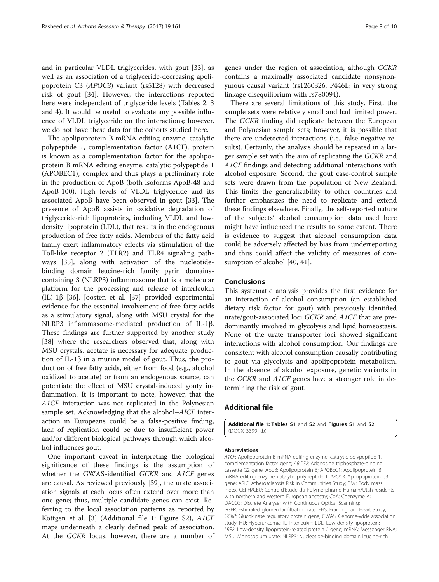<span id="page-7-0"></span>and in particular VLDL triglycerides, with gout [\[33\]](#page-9-0), as well as an association of a triglyceride-decreasing apolipoprotein C3 (APOC3) variant (rs5128) with decreased risk of gout [\[34](#page-9-0)]. However, the interactions reported here were independent of triglyceride levels (Tables [2,](#page-4-0) [3](#page-6-0) and [4\)](#page-6-0). It would be useful to evaluate any possible influence of VLDL triglyceride on the interactions; however, we do not have these data for the cohorts studied here.

The apolipoprotein B mRNA editing enzyme, catalytic polypeptide 1, complementation factor (A1CF), protein is known as a complementation factor for the apolipoprotein B mRNA editing enzyme, catalytic polypeptide 1 (APOBEC1), complex and thus plays a preliminary role in the production of ApoB (both isoforms ApoB-48 and ApoB-100). High levels of VLDL triglyceride and its associated ApoB have been observed in gout [[33\]](#page-9-0). The presence of ApoB assists in oxidative degradation of triglyceride-rich lipoproteins, including VLDL and lowdensity lipoprotein (LDL), that results in the endogenous production of free fatty acids. Members of the fatty acid family exert inflammatory effects via stimulation of the Toll-like receptor 2 (TLR2) and TLR4 signaling pathways [\[35](#page-9-0)], along with activation of the nucleotidebinding domain leucine-rich family pyrin domainscontaining 3 (NLRP3) inflammasome that is a molecular platform for the processing and release of interleukin (IL)-1β [[36](#page-9-0)]. Joosten et al. [[37](#page-9-0)] provided experimental evidence for the essential involvement of free fatty acids as a stimulatory signal, along with MSU crystal for the NLRP3 inflammasome-mediated production of IL-1β. These findings are further supported by another study [[38\]](#page-9-0) where the researchers observed that, along with MSU crystals, acetate is necessary for adequate production of IL-1β in a murine model of gout. Thus, the production of free fatty acids, either from food (e.g., alcohol oxidized to acetate) or from an endogenous source, can potentiate the effect of MSU crystal-induced gouty inflammation. It is important to note, however, that the A1CF interaction was not replicated in the Polynesian sample set. Acknowledging that the alcohol–AICF interaction in Europeans could be a false-positive finding, lack of replication could be due to insufficient power and/or different biological pathways through which alcohol influences gout.

One important caveat in interpreting the biological significance of these findings is the assumption of whether the GWAS-identified GCKR and A1CF genes are causal. As reviewed previously [\[39\]](#page-9-0), the urate association signals at each locus often extend over more than one gene; thus, multiple candidate genes can exist. Referring to the local association patterns as reported by Köttgen et al. [\[3](#page-8-0)] (Additional file 1: Figure S2), A1CF maps underneath a clearly defined peak of association. At the GCKR locus, however, there are a number of genes under the region of association, although GCKR contains a maximally associated candidate nonsynonymous causal variant (rs1260326; P446L; in very strong linkage disequilibrium with rs780094).

There are several limitations of this study. First, the sample sets were relatively small and had limited power. The GCKR finding did replicate between the European and Polynesian sample sets; however, it is possible that there are undetected interactions (i.e., false-negative results). Certainly, the analysis should be repeated in a larger sample set with the aim of replicating the GCKR and A1CF findings and detecting additional interactions with alcohol exposure. Second, the gout case-control sample sets were drawn from the population of New Zealand. This limits the generalizability to other countries and further emphasizes the need to replicate and extend these findings elsewhere. Finally, the self-reported nature of the subjects' alcohol consumption data used here might have influenced the results to some extent. There is evidence to suggest that alcohol consumption data could be adversely affected by bias from underreporting and thus could affect the validity of measures of con-sumption of alcohol [[40, 41\]](#page-9-0).

## Conclusions

This systematic analysis provides the first evidence for an interaction of alcohol consumption (an established dietary risk factor for gout) with previously identified urate/gout-associated loci GCKR and A1CF that are predominantly involved in glycolysis and lipid homeostasis. None of the urate transporter loci showed significant interactions with alcohol consumption. Our findings are consistent with alcohol consumption causally contributing to gout via glycolysis and apolipoprotein metabolism. In the absence of alcohol exposure, genetic variants in the GCKR and A1CF genes have a stronger role in determining the risk of gout.

## Additional file

[Additional file 1:](dx.doi.org/10.1186/s13075-017-1369-y) Tables S1 and S2 and Figures S1 and S2. (DOCX 3399 kb)

#### Abbreviations

A1CF: Apolipoprotein B mRNA editing enzyme, catalytic polypeptide 1, complementation factor gene; ABCG2: Adenosine triphosphate-binding cassette G2 gene; ApoB: Apolipoprotein B; APOBEC1: Apolipoprotein B mRNA editing enzyme, catalytic polypeptide 1; APOC3: Apolipoprotein C3 gene; ARIC: Atherosclerosis Risk in Communities Study; BMI: Body mass index; CEPH/CEU: Centre d'Etude du Polymorphisme Humain/Utah residents with northern and western European ancestry; CoA: Coenzyme A; DACOS: Discrete Analyser with Continuous Optical Scanning; eGFR: Estimated glomerular filtration rate; FHS: Framingham Heart Study; GCKR: Glucokinase regulatory protein gene; GWAS: Genome-wide association study; HU: Hyperuricemia; IL: Interleukin; LDL: Low-density lipoprotein; LRP2: Low-density lipoprotein-related protein 2 gene; mRNA: Messenger RNA; MSU: Monosodium urate; NLRP3: Nucleotide-binding domain leucine-rich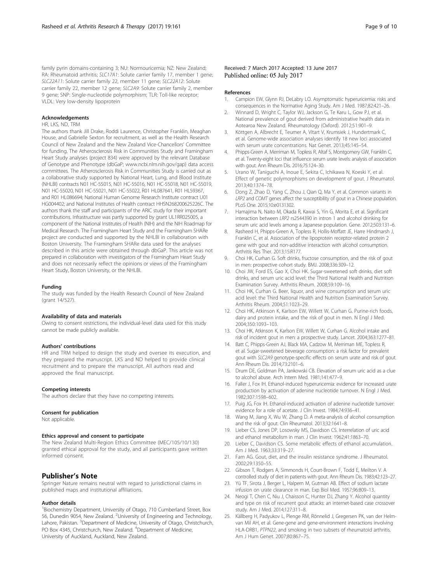<span id="page-8-0"></span>family pyrin domains-containing 3; NU: Normouricemia; NZ: New Zealand; RA: Rheumatoid arthritis; SLC17A1: Solute carrier family 17, member 1 gene; SLC22A11: Solute carrier family 22, member 11 gene; SLC22A12: Solute carrier family 22, member 12 gene; SLC2A9: Solute carrier family 2, member 9 gene; SNP: Single-nucleotide polymorphism; TLR: Toll-like receptor; VLDL: Very low-density lipoprotein

#### Acknowledgements

## HR, LKS, ND, TRM

The authors thank Jill Drake, Roddi Laurence, Christopher Franklin, Meaghan House, and Gabrielle Sexton for recruitment, as well as the Health Research Council of New Zealand and the New Zealand Vice-Chancellors' Committee for funding. The Atherosclerosis Risk in Communities Study and Framingham Heart Study analyses (project 834) were approved by the relevant Database of Genotype and Phenotype (dbGaP; [www.ncbi.nlm.nih.gov/gap](http://www.ncbi.nlm.nih.gov/gap)) data access committees. The Atherosclerosis Risk in Communities Study is carried out as a collaborative study supported by National Heart, Lung, and Blood Institute (NHLBI) contracts N01 HC-55015, N01 HC-55016, N01 HC-55018, N01 HC-55019, N01 HC-55020, N01 HC-55021, N01 HC-55022, R01 HL087641, R01 HL59367, and R01 HL086694; National Human Genome Research Institute contract U01 HG004402; and National Institutes of Health contract HHSN268200625226C. The authors thank the staff and participants of the ARIC study for their important contributions. Infrastructure was partly supported by grant UL1RR025005, a component of the National Institutes of Health (NIH) and the NIH Roadmap for Medical Research. The Framingham Heart Study and the Framingham SHARe project are conducted and supported by the NHLBI in collaboration with Boston University. The Framingham SHARe data used for the analyses described in this article were obtained through dbGaP. This article was not prepared in collaboration with investigators of the Framingham Heart Study and does not necessarily reflect the opinions or views of the Framingham Heart Study, Boston University, or the NHLBI.

#### Funding

The study was funded by the Health Research Council of New Zealand (grant 14/527).

#### Availability of data and materials

Owing to consent restrictions, the individual-level data used for this study cannot be made publicly available.

#### Authors' contributions

HR and TRM helped to design the study and oversee its execution, and they prepared the manuscript. LKS and ND helped to provide clinical recruitment and to prepare the manuscript. All authors read and approved the final manuscript.

#### Competing interests

The authors declare that they have no competing interests.

#### Consent for publication

Not applicable.

#### Ethics approval and consent to participate

The New Zealand Multi-Region Ethics Committee (MEC/105/10/130) granted ethical approval for the study, and all participants gave written informed consent.

## Publisher's Note

Springer Nature remains neutral with regard to jurisdictional claims in published maps and institutional affiliations.

#### Author details

<sup>1</sup> Biochemistry Department, University of Otago, 710 Cumberland Street, Box 56, Dunedin 9054, New Zealand. <sup>2</sup>University of Engineering and Technology, Lahore, Pakistan. <sup>3</sup>Department of Medicine, University of Otago, Christchurch, PO Box 4345, Christchurch, New Zealand. <sup>4</sup>Department of Medicine, University of Auckland, Auckland, New Zealand.

#### References

- 1. Campion EW, Glynn RJ, DeLabry LO. Asymptomatic hyperuricemia: risks and consequences in the Normative Aging Study. Am J Med. 1987;82:421–26.
- 2. Winnard D, Wright C, Taylor WJ, Jackson G, Te Karu L, Gow PJ, et al. National prevalence of gout derived from administrative health data in Aotearoa New Zealand. Rheumatology (Oxford). 2012;51:901–9.
- 3. Köttgen A, Albrecht E, Teumer A, Vitart V, Krumsiek J, Hundertmark C, et al. Genome-wide association analyses identify 18 new loci associated with serum urate concentrations. Nat Genet. 2013;45:145–54.
- 4. Phipps-Green A, Merriman M, Topless R, Altaf S, Montgomery GW, Franklin C, et al. Twenty-eight loci that influence serum urate levels: analysis of association with gout. Ann Rheum Dis. 2016;75:124–30.
- 5. Urano W, Taniguchi A, Inoue E, Sekita C, Ichikawa N, Koeski Y, et al. Effect of genetic polymorphisms on development of gout. J Rheumatol. 2013;40:1374–78.
- 6. Dong Z, Zhao D, Yang C, Zhou J, Qian Q, Ma Y, et al. Common variants in LRP2 and COMT genes affect the susceptibility of gout in a Chinese population. PLoS One. 2015;10:e0131302.
- 7. Hamajima N, Naito M, Okada R, Kawai S, Yin G, Morita E, et al. Significant interaction between LRP2 rs2544390 in intron 1 and alcohol drinking for serum uric acid levels among a Japanese population. Gene. 2012;503:131–6.
- 8. Rasheed H, Phipps-Green A, Topless R, Hollis-Moffatt JE, Harre Hindmarsh J, Franklin C, et al. Association of the lipoprotein receptor-related protein 2 gene with gout and non-additive interaction with alcohol consumption. Arthritis Res Ther. 2013;15:R177.
- 9. Choi HK, Curhan G. Soft drinks, fructose consumption, and the risk of gout in men: prospective cohort study. BMJ. 2008;336:309–12.
- 10. Choi JW, Ford ES, Gao X, Choi HK. Sugar-sweetened soft drinks, diet soft drinks, and serum uric acid level: the Third National Health and Nutrition Examination Survey. Arthritis Rheum. 2008;59:109–16.
- 11. Choi HK, Curhan G. Beer, liquor, and wine consumption and serum uric acid level: the Third National Health and Nutrition Examination Survey. Arthritis Rheum. 2004;51:1023–29.
- 12. Choi HK, Atkinson K, Karlson EW, Willett W, Curhan G. Purine-rich foods, dairy and protein intake, and the risk of gout in men. N Engl J Med. 2004;350:1093–103.
- 13. Choi HK, Atkinson K, Karlson EW, Willett W, Curhan G. Alcohol intake and risk of incident gout in men: a prospective study. Lancet. 2004;363:1277–81.
- 14. Batt C, Phipps-Green AJ, Black MA, Cadzow M, Merriman ME, Topless R, et al. Sugar-sweetened beverage consumption: a risk factor for prevalent gout with SLC2A9 genotype-specific effects on serum urate and risk of gout. Ann Rheum Dis. 2014;73:2101–6.
- 15. Drum DE, Goldman PA, Jankowski CB. Elevation of serum uric acid as a clue to alcohol abuse. Arch Intern Med. 1981;141:477–9.
- 16. Faller J, Fox IH. Ethanol-induced hyperuricemia: evidence for increased urate production by activation of adenine nucleotide turnover. N Engl J Med. 1982;307:1598–602.
- 17. Puig JG, Fox IH. Ethanol-induced activation of adenine nucleotide turnover: evidence for a role of acetate. J Clin Invest. 1984;74:936–41.
- 18. Wang M, Jiang X, Wu W, Zhang D. A meta-analysis of alcohol consumption and the risk of gout. Clin Rheumatol. 2013;32:1641–8.
- 19. Lieber CS, Jones DP, Losowsky MS, Davidson CS. Interrelation of uric acid and ethanol metabolism in man. J Clin Invest. 1962;41:1863–70.
- 20. Lieber C, Davidson CS. Some metabolic effects of ethanol accumulation. Am J Med. 1963;33:319–27.
- 21. Fam AG. Gout, diet, and the insulin resistance syndrome. J Rheumatol. 2002;29:1350–55.
- 22. Gibson T, Rodgers A, Simmonds H, Court-Brown F, Todd E, Meilton V. A controlled study of diet in patients with gout. Ann Rheum Dis. 1983;42:123–27.
- 23. Yü TF, Sirota J, Berger L, Halpern M, Gutman AB. Effect of sodium lactate infusion on urate clearance in man. Exp Biol Med. 1957;96:809–13.
- 24. Neogi T, Chen C, Niu J, Chaisson C, Hunter DJ, Zhang Y. Alcohol quantity and type on risk of recurrent gout attacks: an internet-based case crossover study. Am J Med. 2014;127:311–8.
- 25. Källberg H, Padyukov L, Plenge RM, Rönnelid J, Gregersen PK, van der Helmvan Mil AH, et al. Gene-gene and gene-environment interactions involving HLA-DRB1, PTPN22, and smoking in two subsets of rheumatoid arthritis. Am J Hum Genet. 2007;80:867–75.